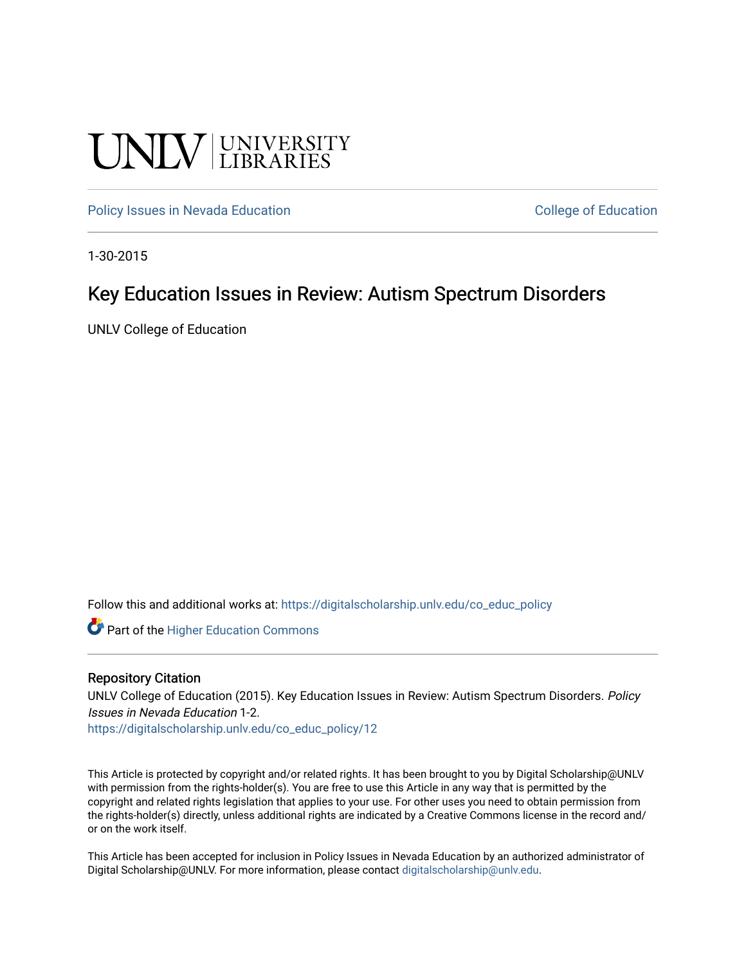## UNIV UNIVERSITY

[Policy Issues in Nevada Education](https://digitalscholarship.unlv.edu/co_educ_policy) **College of Education** College of Education

1-30-2015

#### Key Education Issues in Review: Autism Spectrum Disorders

UNLV College of Education

Follow this and additional works at: [https://digitalscholarship.unlv.edu/co\\_educ\\_policy](https://digitalscholarship.unlv.edu/co_educ_policy?utm_source=digitalscholarship.unlv.edu%2Fco_educ_policy%2F12&utm_medium=PDF&utm_campaign=PDFCoverPages)

**C** Part of the Higher Education Commons

#### Repository Citation

UNLV College of Education (2015). Key Education Issues in Review: Autism Spectrum Disorders. Policy Issues in Nevada Education 1-2.

[https://digitalscholarship.unlv.edu/co\\_educ\\_policy/12](https://digitalscholarship.unlv.edu/co_educ_policy/12) 

This Article is protected by copyright and/or related rights. It has been brought to you by Digital Scholarship@UNLV with permission from the rights-holder(s). You are free to use this Article in any way that is permitted by the copyright and related rights legislation that applies to your use. For other uses you need to obtain permission from the rights-holder(s) directly, unless additional rights are indicated by a Creative Commons license in the record and/ or on the work itself.

This Article has been accepted for inclusion in Policy Issues in Nevada Education by an authorized administrator of Digital Scholarship@UNLV. For more information, please contact [digitalscholarship@unlv.edu](mailto:digitalscholarship@unlv.edu).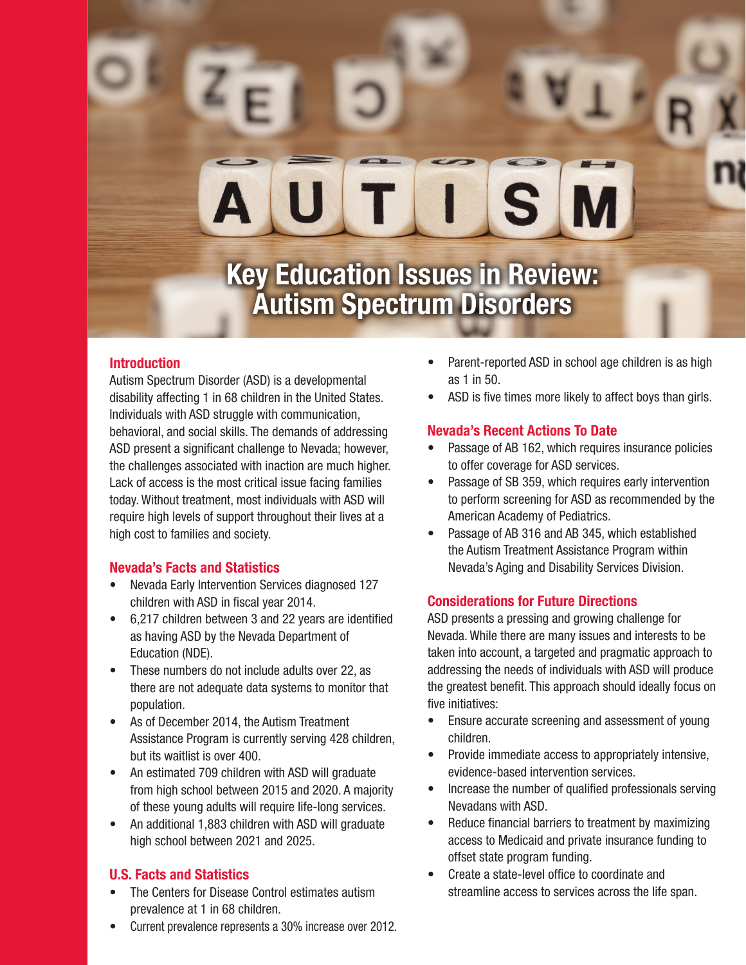# S

### **Key Education Issues in Review: Autism Spectrum Disorders**

#### **Introduction**

Autism Spectrum Disorder (ASD) is a developmental disability affecting 1 in 68 children in the United States. Individuals with ASD struggle with communication, behavioral, and social skills. The demands of addressing ASD present a significant challenge to Nevada; however, the challenges associated with inaction are much higher. Lack of access is the most critical issue facing families today. Without treatment, most individuals with ASD will require high levels of support throughout their lives at a high cost to families and society.

#### **Nevada's Facts and Statistics**

- Nevada Early Intervention Services diagnosed 127 children with ASD in fiscal year 2014.
- 6,217 children between 3 and 22 years are identified as having ASD by the Nevada Department of Education (NDE).
- These numbers do not include adults over 22, as there are not adequate data systems to monitor that population.
- As of December 2014, the Autism Treatment Assistance Program is currently serving 428 children, but its waitlist is over 400.
- An estimated 709 children with ASD will graduate from high school between 2015 and 2020. A majority of these young adults will require life-long services.
- An additional 1,883 children with ASD will graduate high school between 2021 and 2025.

#### **U.S. Facts and Statistics**

- The Centers for Disease Control estimates autism prevalence at 1 in 68 children.
- Current prevalence represents a 30% increase over 2012.
- Parent-reported ASD in school age children is as high as 1 in 50.
- ASD is five times more likely to affect boys than girls.

#### **Nevada's Recent Actions To Date**

- Passage of AB 162, which requires insurance policies to offer coverage for ASD services.
- Passage of SB 359, which requires early intervention to perform screening for ASD as recommended by the American Academy of Pediatrics.
- Passage of AB 316 and AB 345, which established the Autism Treatment Assistance Program within Nevada's Aging and Disability Services Division.

#### **Considerations for Future Directions**

ASD presents a pressing and growing challenge for Nevada. While there are many issues and interests to be taken into account, a targeted and pragmatic approach to addressing the needs of individuals with ASD will produce the greatest benefit. This approach should ideally focus on five initiatives:

- Ensure accurate screening and assessment of young children.
- Provide immediate access to appropriately intensive, evidence-based intervention services.
- Increase the number of qualified professionals serving Nevadans with ASD.
- Reduce financial barriers to treatment by maximizing access to Medicaid and private insurance funding to offset state program funding.
- Create a state-level office to coordinate and streamline access to services across the life span.